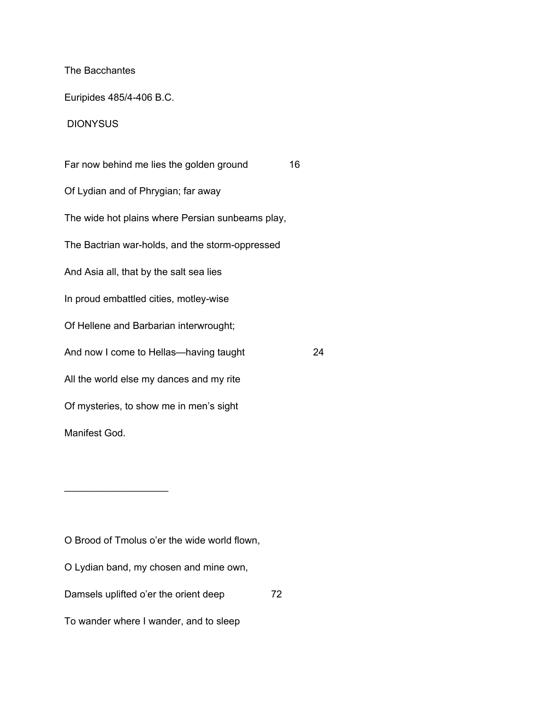### The Bacchantes

#### Euripides 485/4-406 B.C.

### **DIONYSUS**

Far now behind me lies the golden ground 16 Of Lydian and of Phrygian; far away The wide hot plains where Persian sunbeams play, The Bactrian war-holds, and the storm-oppressed And Asia all, that by the salt sea lies In proud embattled cities, motley-wise Of Hellene and Barbarian interwrought; And now I come to Hellas—having taught 24 All the world else my dances and my rite Of mysteries, to show me in men's sight Manifest God.

O Brood of Tmolus o'er the wide world flown, O Lydian band, my chosen and mine own, Damsels uplifted o'er the orient deep 72 To wander where I wander, and to sleep

\_\_\_\_\_\_\_\_\_\_\_\_\_\_\_\_\_\_\_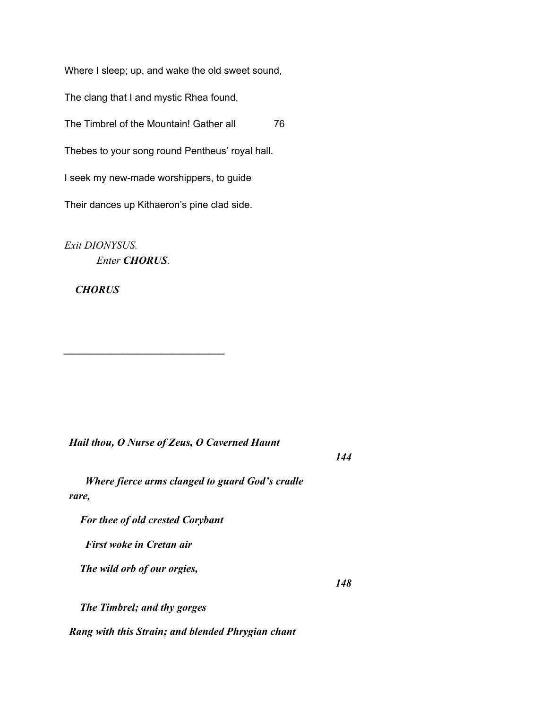Where I sleep; up, and wake the old sweet sound,

The clang that I and mystic Rhea found,

The Timbrel of the Mountain! Gather all 76

Thebes to your song round Pentheus' royal hall.

I seek my new-made worshippers, to guide

Their dances up Kithaeron's pine clad side.

*Exit DIONYSUS. Enter CHORUS.*

 *CHORUS*

*Hail thou, O Nurse of Zeus, O Caverned Haunt*

*144*

 *Where fierce arms clanged to guard God's cradle rare,*

 *For thee of old crested Corybant*

*\_\_\_\_\_\_\_\_\_\_\_\_\_\_\_\_\_\_\_\_\_\_\_\_\_\_\_\_\_\_*

 *First woke in Cretan air*

 *The wild orb of our orgies,*

*148*

 *The Timbrel; and thy gorges*

*Rang with this Strain; and blended Phrygian chant*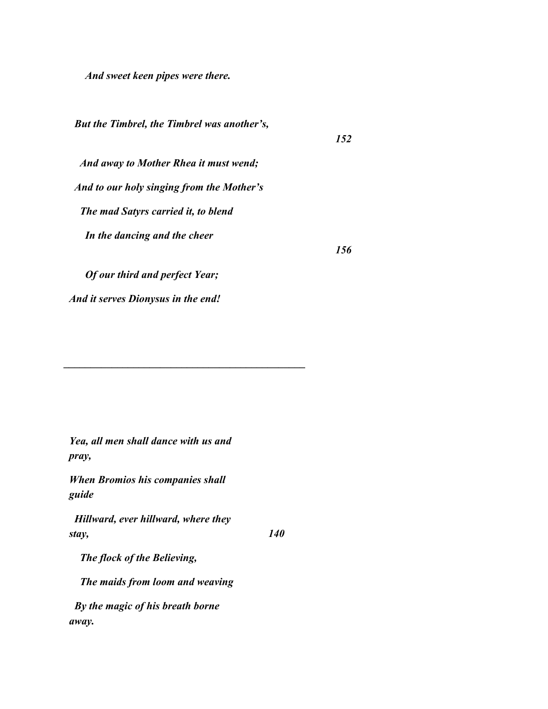*And sweet keen pipes were there.*

| <b>But the Timbrel, the Timbrel was another's,</b> |     |
|----------------------------------------------------|-----|
|                                                    | 152 |
| And away to Mother Rhea it must wend;              |     |
| And to our holy singing from the Mother's          |     |
| The mad Satyrs carried it, to blend                |     |
| In the dancing and the cheer                       |     |
|                                                    | 156 |
| Of our third and perfect Year;                     |     |

*\_\_\_\_\_\_\_\_\_\_\_\_\_\_\_\_\_\_\_\_\_\_\_\_\_\_\_\_\_\_\_\_\_\_\_\_\_\_\_\_\_\_\_\_\_*

*And it serves Dionysus in the end!*

*Yea, all men shall dance with us and pray,*

*When Bromios his companies shall guide*

 *Hillward, ever hillward, where they stay, 140*

 *The flock of the Believing,*

 *The maids from loom and weaving*

 *By the magic of his breath borne away.*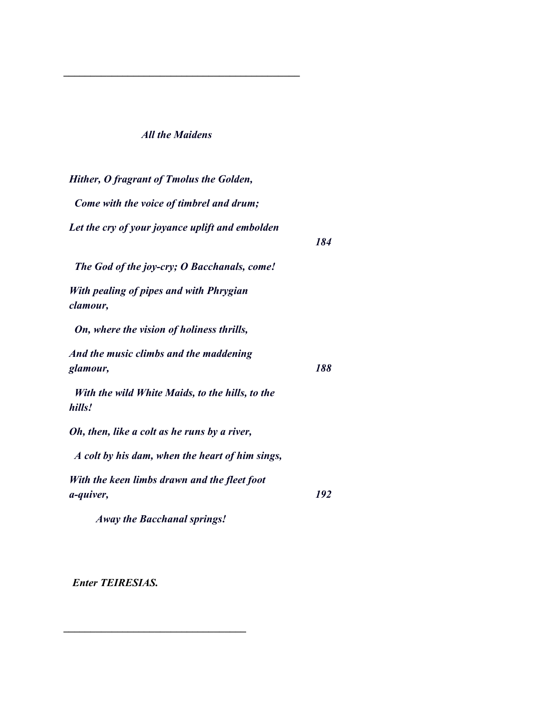## *All the Maidens*

*\_\_\_\_\_\_\_\_\_\_\_\_\_\_\_\_\_\_\_\_\_\_\_\_\_\_\_\_\_\_\_\_\_\_\_\_\_\_\_\_\_\_\_\_*

| Hither, O fragrant of Tmolus the Golden,                          |     |
|-------------------------------------------------------------------|-----|
| Come with the voice of timbrel and drum;                          |     |
| Let the cry of your joyance uplift and embolden                   | 184 |
| The God of the joy-cry; O Bacchanals, come!                       |     |
| With pealing of pipes and with Phrygian<br>clamour,               |     |
| On, where the vision of holiness thrills,                         |     |
| And the music climbs and the maddening<br>glamour,                | 188 |
| With the wild White Maids, to the hills, to the<br>hills!         |     |
| Oh, then, like a colt as he runs by a river,                      |     |
| A colt by his dam, when the heart of him sings,                   |     |
| With the keen limbs drawn and the fleet foot<br><i>a</i> -quiver, | 192 |
| <b>Away the Bacchanal springs!</b>                                |     |

 *Enter TEIRESIAS.*

*\_\_\_\_\_\_\_\_\_\_\_\_\_\_\_\_\_\_\_\_\_\_\_\_\_\_\_\_\_\_\_\_\_\_*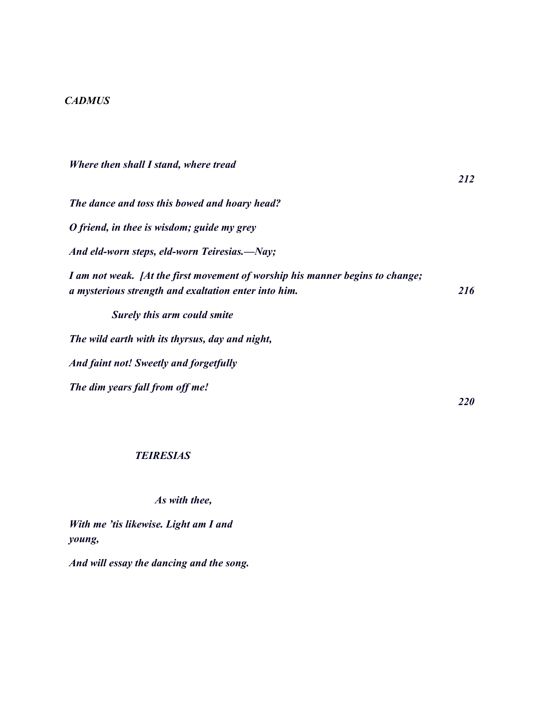## *CADMUS*

| Where then shall I stand, where tread                                                                                                 | 212        |
|---------------------------------------------------------------------------------------------------------------------------------------|------------|
| The dance and toss this bowed and hoary head?                                                                                         |            |
| O friend, in thee is wisdom; guide my grey                                                                                            |            |
| And eld-worn steps, eld-worn Teiresias.—Nay;                                                                                          |            |
| I am not weak. [At the first movement of worship his manner begins to change;<br>a mysterious strength and exaltation enter into him. | 216        |
| Surely this arm could smite                                                                                                           |            |
| The wild earth with its thyrsus, day and night,                                                                                       |            |
| And faint not! Sweetly and forgetfully                                                                                                |            |
| The dim years fall from off me!                                                                                                       | <i>220</i> |

### *TEIRESIAS*

 *As with thee,*

*With me 'tis likewise. Light am I and young,*

*And will essay the dancing and the song.*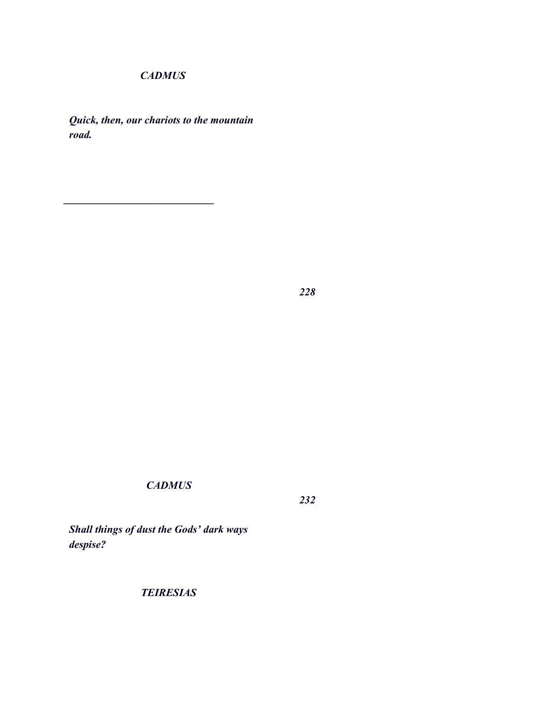## *CADMUS*

*Quick, then, our chariots to the mountain road.*

*\_\_\_\_\_\_\_\_\_\_\_\_\_\_\_\_\_\_\_\_\_\_\_\_\_\_\_\_*

*228*

### *CADMUS*

*232*

*Shall things of dust the Gods' dark ways despise?*

*TEIRESIAS*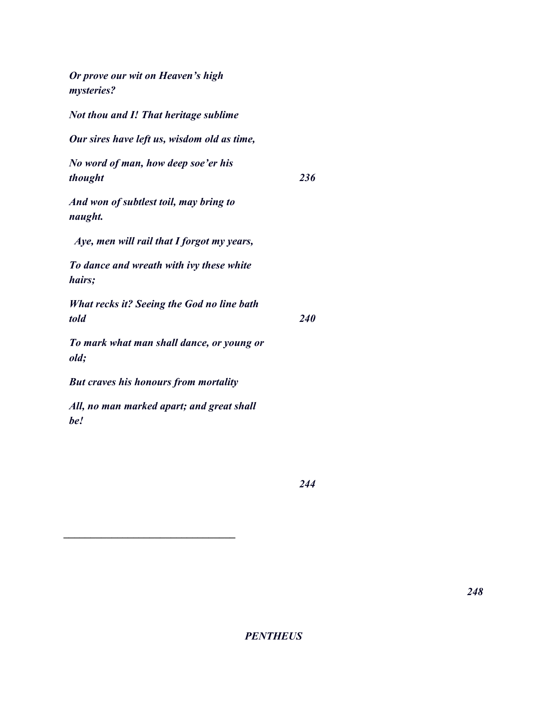| Or prove our wit on Heaven's high<br>mysteries?           |            |
|-----------------------------------------------------------|------------|
| <b>Not thou and I! That heritage sublime</b>              |            |
| Our sires have left us, wisdom old as time,               |            |
| No word of man, how deep soe'er his<br>thought            | 236        |
| And won of subtlest toil, may bring to<br>naught.         |            |
| Aye, men will rail that I forgot my years,                |            |
| To dance and wreath with ivy these white<br>hairs;        |            |
| <b>What recks it? Seeing the God no line bath</b><br>told | <b>240</b> |
| To mark what man shall dance, or young or<br>old;         |            |
| <b>But craves his honours from mortality</b>              |            |
| All, no man marked apart; and great shall<br>be!          |            |

*\_\_\_\_\_\_\_\_\_\_\_\_\_\_\_\_\_\_\_\_\_\_\_\_\_\_\_\_\_\_\_\_*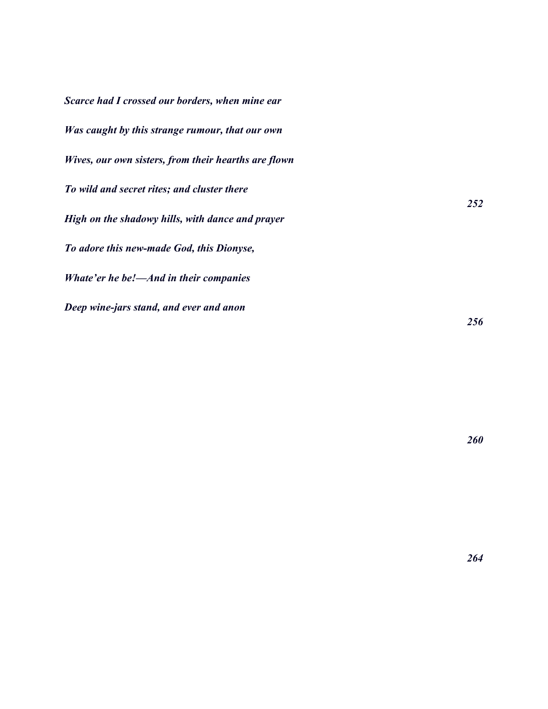*Scarce had I crossed our borders, when mine ear Was caught by this strange rumour, that our own Wives, our own sisters, from their hearths are flown To wild and secret rites; and cluster there 252 High on the shadowy hills, with dance and prayer To adore this new-made God, this Dionyse, Whate'er he be!—And in their companies Deep wine-jars stand, and ever and anon 256*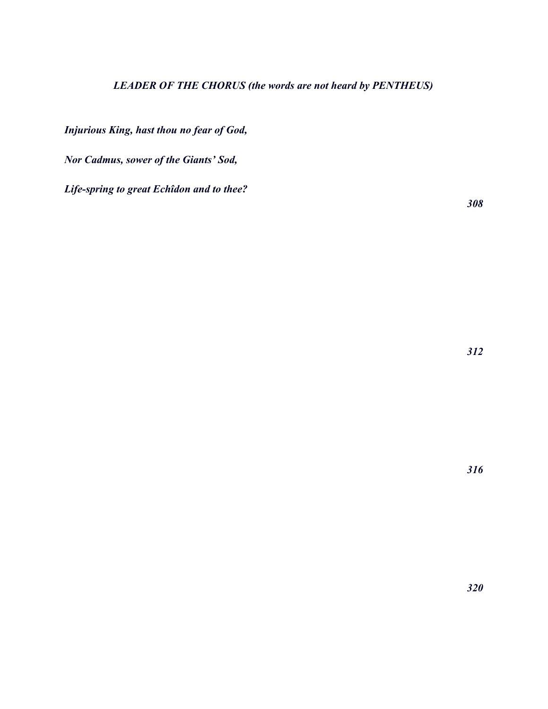# *LEADER OF THE CHORUS (the words are not heard by PENTHEUS)*

*Injurious King, hast thou no fear of God,*

*Nor Cadmus, sower of the Giants' Sod,*

*Life-spring to great Echîdon and to thee?*

 *308*

 *312*

 *316*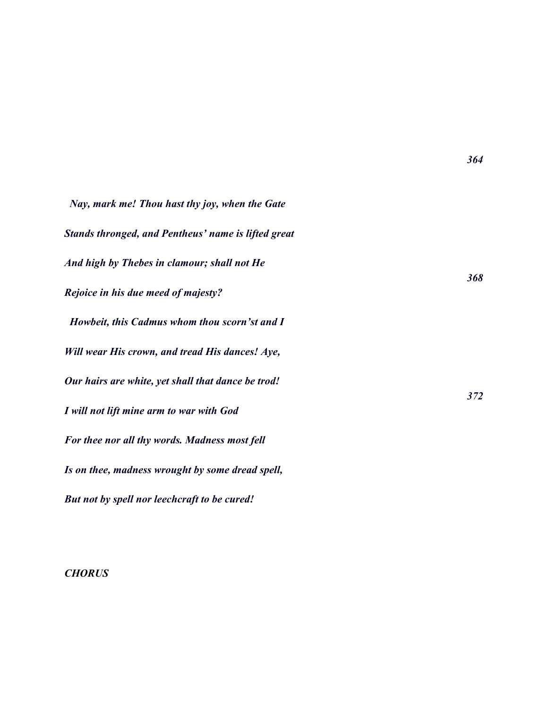| Nay, mark me! Thou hast thy joy, when the Gate      |     |
|-----------------------------------------------------|-----|
| Stands thronged, and Pentheus' name is lifted great |     |
| And high by Thebes in clamour; shall not He         | 368 |
| Rejoice in his due meed of majesty?                 |     |
| Howbeit, this Cadmus whom thou scorn'st and I       |     |
| Will wear His crown, and tread His dances! Aye,     |     |
| Our hairs are white, yet shall that dance be trod!  | 372 |
| I will not lift mine arm to war with God            |     |
| For thee nor all thy words. Madness most fell       |     |
| Is on thee, madness wrought by some dread spell,    |     |
| But not by spell nor leechcraft to be cured!        |     |

# *CHORUS*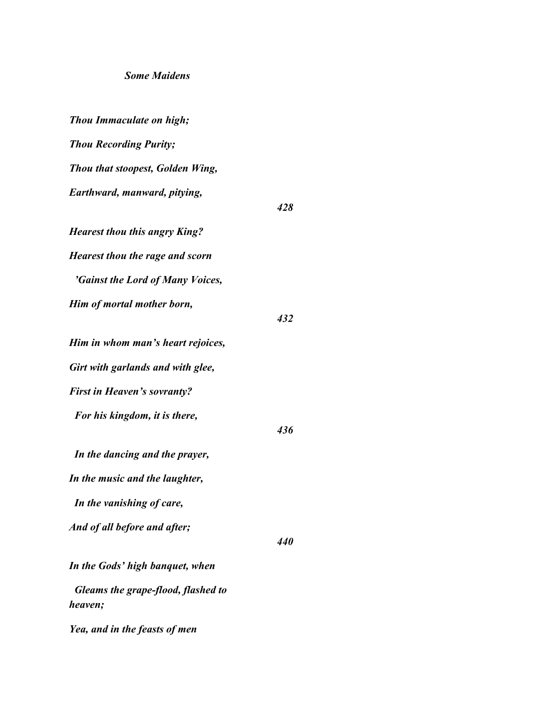## *Some Maidens*

| Thou Immaculate on high;                      |            |
|-----------------------------------------------|------------|
| <b>Thou Recording Purity;</b>                 |            |
| Thou that stoopest, Golden Wing,              |            |
| Earthward, manward, pitying,                  | 428        |
| <b>Hearest thou this angry King?</b>          |            |
| Hearest thou the rage and scorn               |            |
| 'Gainst the Lord of Many Voices,              |            |
| Him of mortal mother born,                    | 432        |
| Him in whom man's heart rejoices,             |            |
| Girt with garlands and with glee,             |            |
| <b>First in Heaven's sovranty?</b>            |            |
| For his kingdom, it is there,                 | 436        |
| In the dancing and the prayer,                |            |
| In the music and the laughter,                |            |
| In the vanishing of care,                     |            |
| And of all before and after;                  | <b>440</b> |
| In the Gods' high banquet, when               |            |
| Gleams the grape-flood, flashed to<br>heaven; |            |
| Yea, and in the feasts of men                 |            |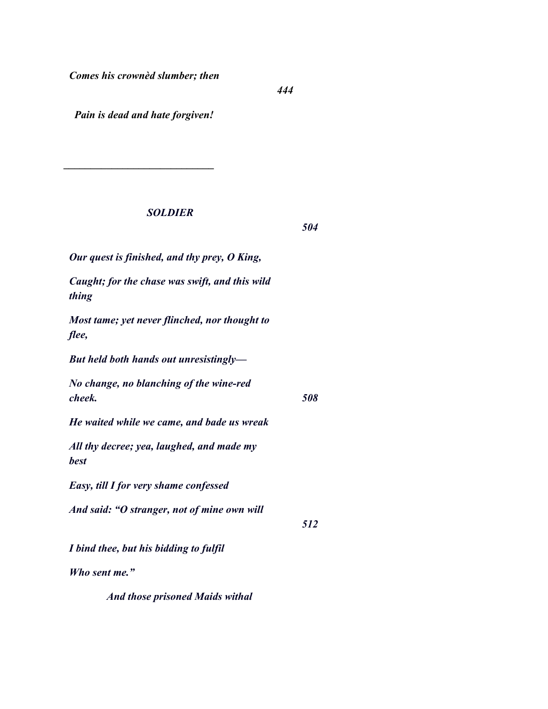*Comes his crownèd slumber; then*

*444*

 *Pain is dead and hate forgiven!*

*\_\_\_\_\_\_\_\_\_\_\_\_\_\_\_\_\_\_\_\_\_\_\_\_\_\_\_\_*

### *SOLDIER*

*504*

| Our quest is finished, and thy prey, O King,            |     |
|---------------------------------------------------------|-----|
| Caught; for the chase was swift, and this wild<br>thing |     |
| Most tame; yet never flinched, nor thought to<br>flee,  |     |
| But held both hands out unresistingly-                  |     |
| No change, no blanching of the wine-red<br>cheek.       | 508 |
| He waited while we came, and bade us wreak              |     |
| All thy decree; yea, laughed, and made my<br>best       |     |
| Easy, till I for very shame confessed                   |     |
| And said: "O stranger, not of mine own will             | 512 |
| I bind thee, but his bidding to fulfil                  |     |
| Who sent me."                                           |     |

 *And those prisoned Maids withal*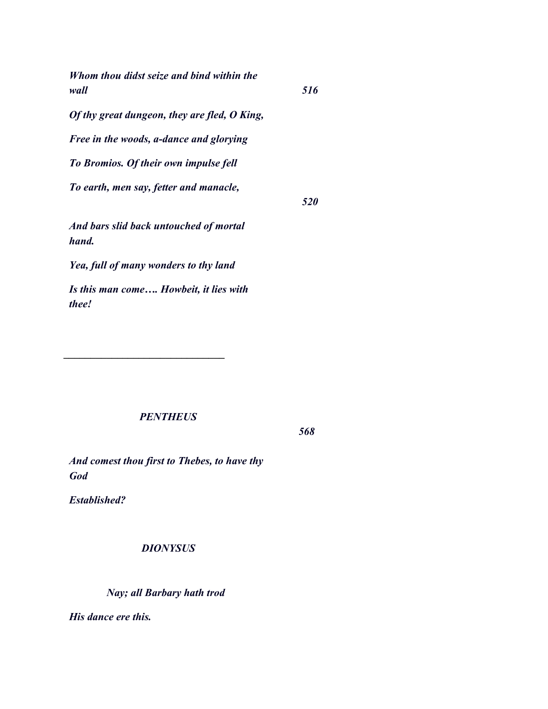| Whom thou didst seize and bind within the<br>wall | 516               |
|---------------------------------------------------|-------------------|
| Of thy great dungeon, they are fled, O King,      |                   |
| Free in the woods, a-dance and glorying           |                   |
| To Bromios. Of their own impulse fell             |                   |
| To earth, men say, fetter and manacle,            | <i><b>520</b></i> |
| And bars slid back untouched of mortal<br>hand.   |                   |
| Yea, full of many wonders to thy land             |                   |
| Is this man come Howbeit, it lies with<br>thee!   |                   |

### *PENTHEUS*

*\_\_\_\_\_\_\_\_\_\_\_\_\_\_\_\_\_\_\_\_\_\_\_\_\_\_\_\_\_\_*

*568*

*And comest thou first to Thebes, to have thy God*

*Established?*

*DIONYSUS*

 *Nay; all Barbary hath trod*

*His dance ere this.*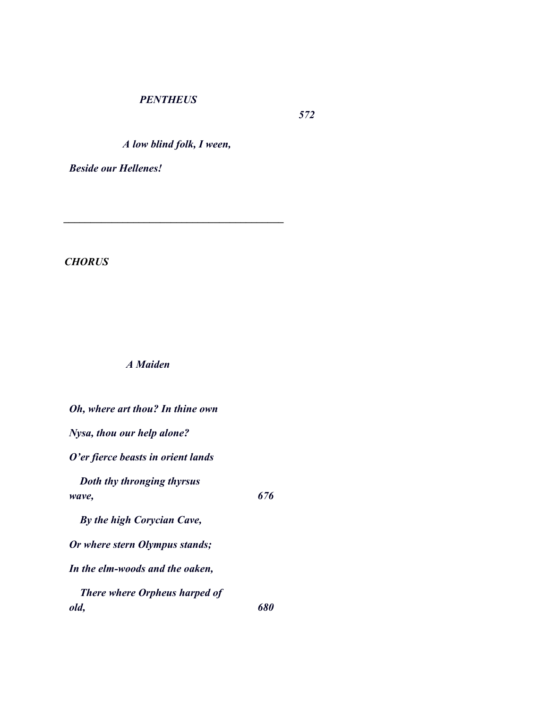### *PENTHEUS*

*572*

 *A low blind folk, I ween,*

*\_\_\_\_\_\_\_\_\_\_\_\_\_\_\_\_\_\_\_\_\_\_\_\_\_\_\_\_\_\_\_\_\_\_\_\_\_\_\_\_\_*

*Beside our Hellenes!*

*CHORUS*

*A Maiden*

*Oh, where art thou? In thine own Nysa, thou our help alone? O'er fierce beasts in orient lands Doth thy thronging thyrsus wave, 676 By the high Corycian Cave, Or where stern Olympus stands; In the elm-woods and the oaken, There where Orpheus harped of old, 680*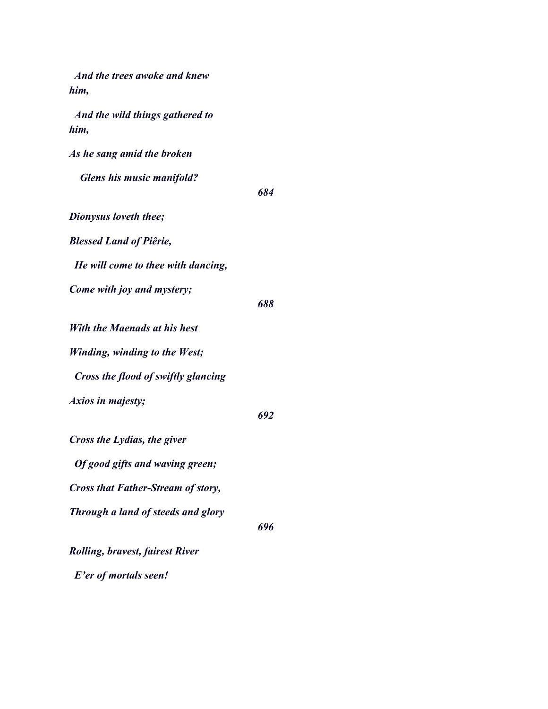*And the trees awoke and knew him,*

 *And the wild things gathered to him,*

*As he sang amid the broken*

 *Glens his music manifold?*

*684*

*Dionysus loveth thee;*

*Blessed Land of Piêrie,*

 *He will come to thee with dancing,*

*Come with joy and mystery;*

*688*

*With the Maenads at his hest*

*Winding, winding to the West;*

 *Cross the flood of swiftly glancing*

*Axios in majesty;*

*692*

*Cross the Lydias, the giver*

 *Of good gifts and waving green;*

*Cross that Father-Stream of story,*

*Through a land of steeds and glory*

*696*

*Rolling, bravest, fairest River*

 *E'er of mortals seen!*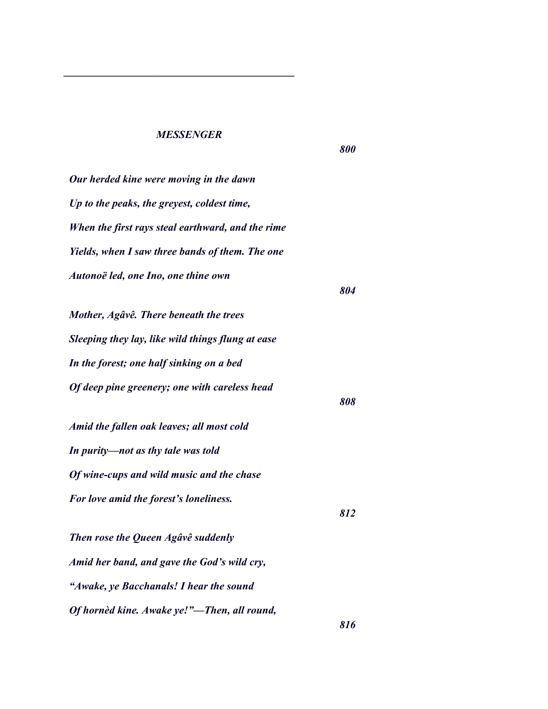#### *MESSENGER*

*\_\_\_\_\_\_\_\_\_\_\_\_\_\_\_\_\_\_\_\_\_\_\_\_\_\_\_\_\_\_\_\_\_\_\_\_\_\_\_\_\_\_\_*

*Our herded kine were moving in the dawn Up to the peaks, the greyest, coldest time, When the first rays steal earthward, and the rime Yields, when I saw three bands of them. The one Autonoë led, one Ino, one thine own 804 Mother, Agâvê. There beneath the trees Sleeping they lay, like wild things flung at ease In the forest; one half sinking on a bed Of deep pine greenery; one with careless head 808 Amid the fallen oak leaves; all most cold In purity—not as thy tale was told Of wine-cups and wild music and the chase For love amid the forest's loneliness. 812 Then rose the Queen Agâvê suddenly Amid her band, and gave the God's wild cry, "Awake, ye Bacchanals! I hear the sound Of hornèd kine. Awake ye!"—Then, all round,*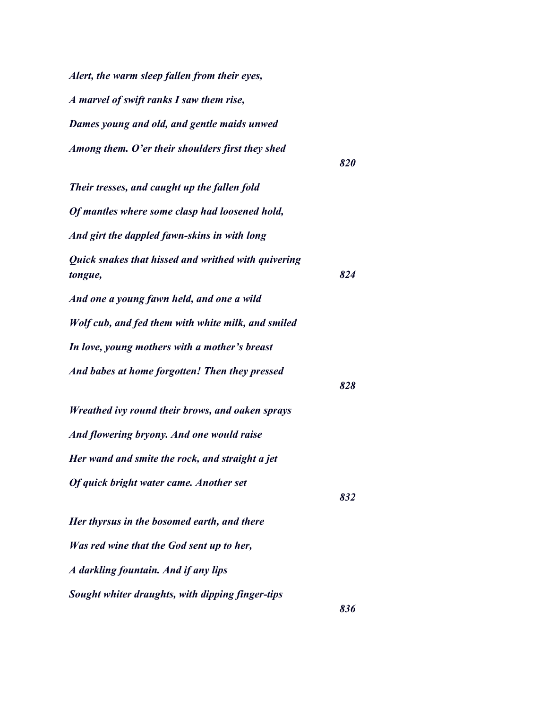*Alert, the warm sleep fallen from their eyes, A marvel of swift ranks I saw them rise, Dames young and old, and gentle maids unwed Among them. O'er their shoulders first they shed 820 Their tresses, and caught up the fallen fold*

*Of mantles where some clasp had loosened hold, And girt the dappled fawn-skins in with long Quick snakes that hissed and writhed with quivering tongue, 824 And one a young fawn held, and one a wild Wolf cub, and fed them with white milk, and smiled In love, young mothers with a mother's breast And babes at home forgotten! Then they pressed 828 Wreathed ivy round their brows, and oaken sprays And flowering bryony. And one would raise Her wand and smite the rock, and straight a jet Of quick bright water came. Another set 832 Her thyrsus in the bosomed earth, and there Was red wine that the God sent up to her, A darkling fountain. And if any lips*

*Sought whiter draughts, with dipping finger-tips*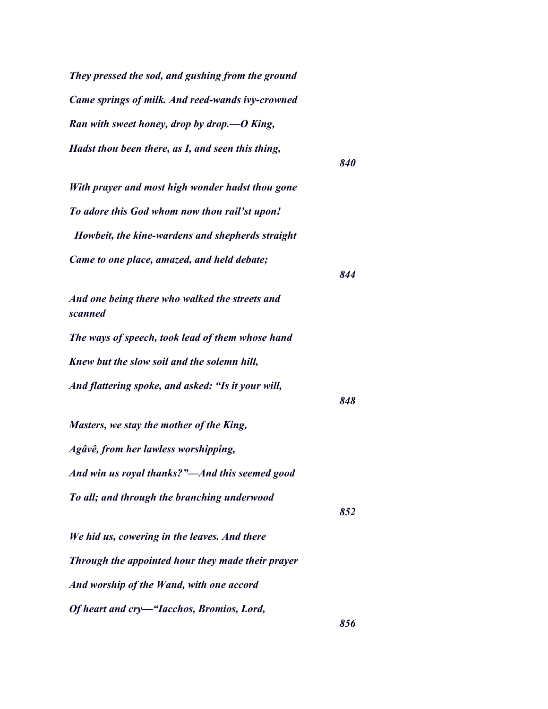*They pressed the sod, and gushing from the ground Came springs of milk. And reed-wands ivy-crowned Ran with sweet honey, drop by drop.—O King, Hadst thou been there, as I, and seen this thing,*

*With prayer and most high wonder hadst thou gone To adore this God whom now thou rail'st upon! Howbeit, the kine-wardens and shepherds straight Came to one place, amazed, and held debate;*

*844*

*848*

*852*

*840*

*And one being there who walked the streets and scanned The ways of speech, took lead of them whose hand Knew but the slow soil and the solemn hill, And flattering spoke, and asked: "Is it your will, Masters, we stay the mother of the King, Agâvê, from her lawless worshipping, And win us royal thanks?"—And this seemed good To all; and through the branching underwood*

*We hid us, cowering in the leaves. And there Through the appointed hour they made their prayer And worship of the Wand, with one accord Of heart and cry—"Iacchos, Bromios, Lord,*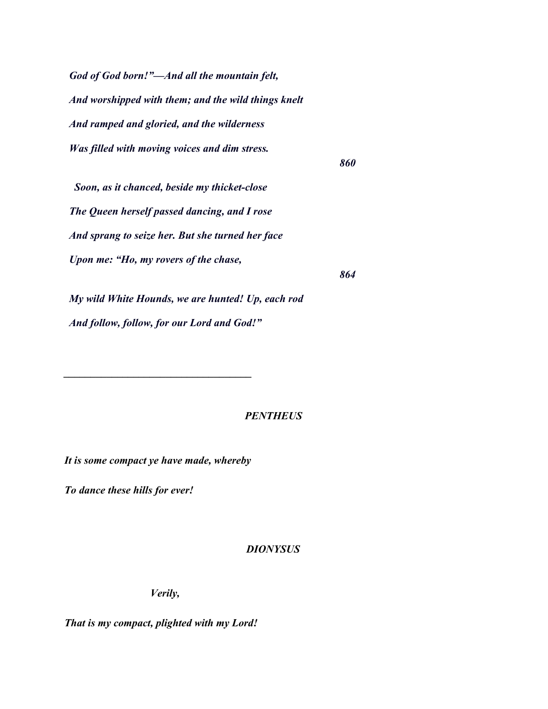*God of God born!"—And all the mountain felt, And worshipped with them; and the wild things knelt And ramped and gloried, and the wilderness Was filled with moving voices and dim stress.*

*860*

 *Soon, as it chanced, beside my thicket-close The Queen herself passed dancing, and I rose And sprang to seize her. But she turned her face Upon me: "Ho, my rovers of the chase,*

*864*

*My wild White Hounds, we are hunted! Up, each rod And follow, follow, for our Lord and God!"*

### *PENTHEUS*

*It is some compact ye have made, whereby*

*\_\_\_\_\_\_\_\_\_\_\_\_\_\_\_\_\_\_\_\_\_\_\_\_\_\_\_\_\_\_\_\_\_\_\_*

*To dance these hills for ever!*

#### *DIONYSUS*

 *Verily,*

*That is my compact, plighted with my Lord!*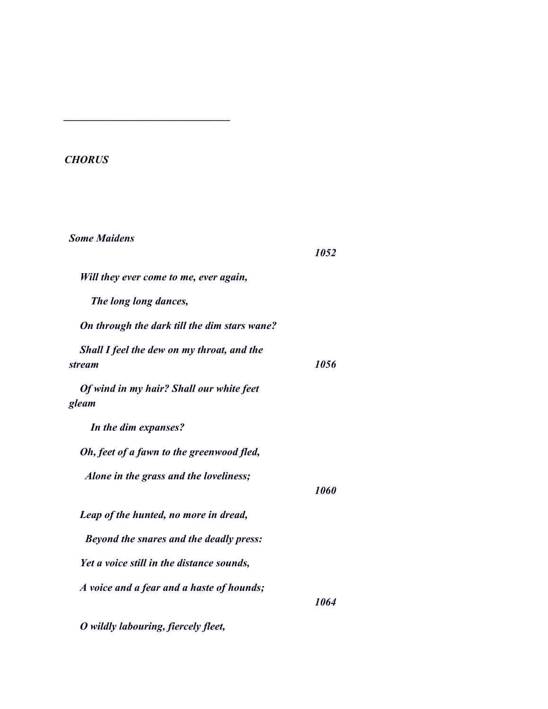# *CHORUS*

*\_\_\_\_\_\_\_\_\_\_\_\_\_\_\_\_\_\_\_\_\_\_\_\_\_\_\_\_\_\_\_*

## *Some Maidens*

| Will they ever come to me, ever again,                             |      |
|--------------------------------------------------------------------|------|
| The long long dances,                                              |      |
| On through the dark till the dim stars wane?                       |      |
| <b>Shall I feel the dew on my throat, and the</b><br><b>stream</b> | 1056 |
| Of wind in my hair? Shall our white feet<br>gleam                  |      |
| In the dim expanses?                                               |      |
| Oh, feet of a fawn to the greenwood fled,                          |      |
| Alone in the grass and the loveliness;                             | 1060 |
| Leap of the hunted, no more in dread,                              |      |
| <b>Beyond the snares and the deadly press:</b>                     |      |
| Yet a voice still in the distance sounds,                          |      |
| A voice and a fear and a haste of hounds;                          | 1064 |

*1052*

 *O wildly labouring, fiercely fleet,*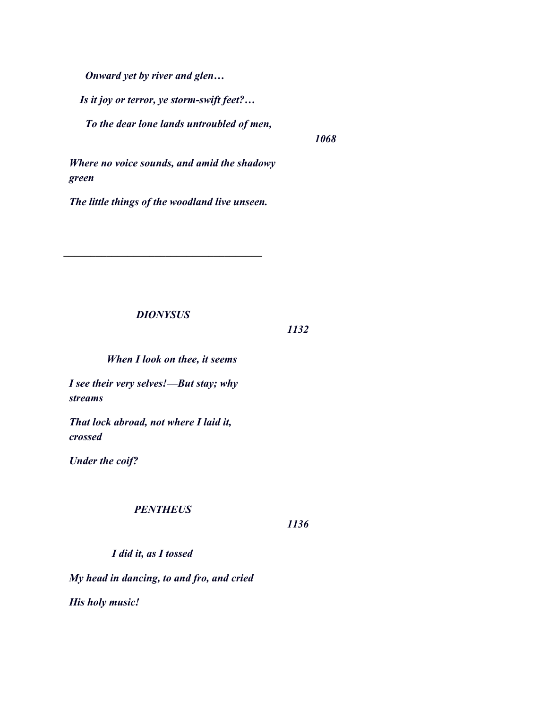*Onward yet by river and glen…*

 *Is it joy or terror, ye storm-swift feet?…*

 *To the dear lone lands untroubled of men,*

*1068*

*Where no voice sounds, and amid the shadowy green*

*The little things of the woodland live unseen.*

#### *DIONYSUS*

*\_\_\_\_\_\_\_\_\_\_\_\_\_\_\_\_\_\_\_\_\_\_\_\_\_\_\_\_\_\_\_\_\_\_\_\_\_*

#### *1132*

 *When I look on thee, it seems*

*I see their very selves!—But stay; why streams*

*That lock abroad, not where I laid it, crossed*

*Under the coif?*

### *PENTHEUS*

*1136*

 *I did it, as I tossed*

*My head in dancing, to and fro, and cried*

*His holy music!*